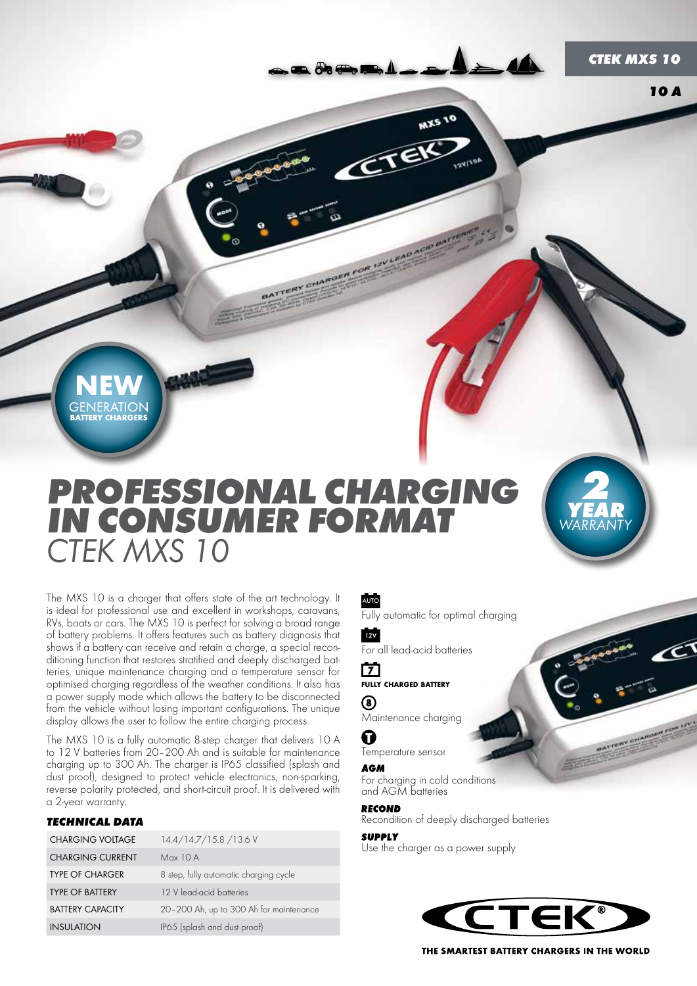*2*

*YEAR* **WARRANTY** 

*2*

*YEAR WARRANTY*

*2*

*YEAR* **WARRANTY** 

C

*2*

*YEAR WARRANTY* *10 A*

**GENERATION**<br>BATTERY CHARGERS

# *PROFESSIONAL CHARGING IN CONSUMER FORMAT CTEK MXS 10*

ATTERY

The MXS 10 is a charger that offers state of the art technology. It is ideal for professional use and excellent in workshops, caravans, RVs, boats or cars. The MXS 10 is perfect for solving a broad range of battery problems. It offers features such as battery diagnosis that shows if a battery can receive and retain a charge, a special reconditioning function that restores stratified and deeply discharged batteries, unique maintenance charging and a temperature sensor for optimised charging regardless of the weather conditions. It also has a power supply mode which allows the battery to be disconnected from the vehicle without losing important configurations. The unique display allows the user to follow the entire charging process.

The MXS 10 is a fully automatic 8-step charger that delivers 10 A to 12 V batteries from 20–200 Ah and is suitable for maintenance charging up to 300 Ah. The charger is IP65 classified (splash and dust proof), designed to protect vehicle electronics, non-sparking, reverse polarity protected, and short-circuit proof. It is delivered with a 2-year warranty.

#### *TECHNICAL DATA*

| <b>CHARGING VOLTAGE</b> | 14.4/14.7/15.8/13.6 V                   |
|-------------------------|-----------------------------------------|
| <b>CHARGING CURRENT</b> | Max 10 A                                |
| <b>TYPE OF CHARGER</b>  | 8 step, fully automatic charging cycle  |
| <b>TYPE OF BATTERY</b>  | 12 V lead-acid batteries                |
| <b>BATTERY CAPACITY</b> | 20-200 Ah, up to 300 Ah for maintenance |
| <b>INSULATION</b>       | IP65 (splash and dust proof)            |

#### AUTO

Fully automatic for optimal charging

**MX5 10** 

 $12V$ For all lead-acid batteries

#### 门 fully charged battery

(8)

Maintenance charging

0 Temperature sensor

#### **AGM**

For charging in cold conditions and AGM batteries

#### **RECOND**

Recondition of deeply discharged batteries

#### **SUPPLY**

Use the charger as a power supply



THE SMARTEST BATTERY CHARGERS IN THE WORLD